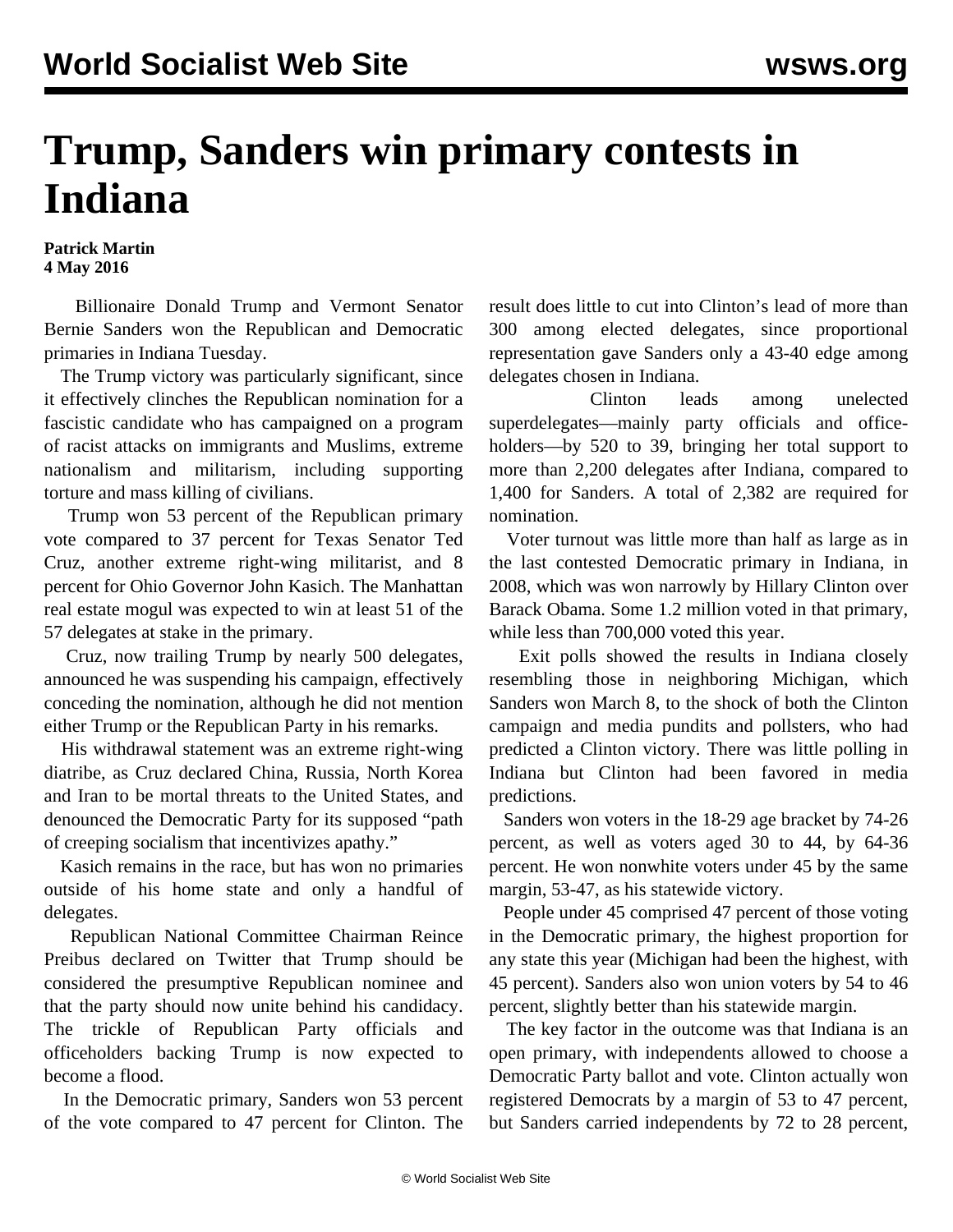## **Trump, Sanders win primary contests in Indiana**

**Patrick Martin 4 May 2016**

 Billionaire Donald Trump and Vermont Senator Bernie Sanders won the Republican and Democratic primaries in Indiana Tuesday.

 The Trump victory was particularly significant, since it effectively clinches the Republican nomination for a fascistic candidate who has campaigned on a program of racist attacks on immigrants and Muslims, extreme nationalism and militarism, including supporting torture and mass killing of civilians.

 Trump won 53 percent of the Republican primary vote compared to 37 percent for Texas Senator Ted Cruz, another extreme right-wing militarist, and 8 percent for Ohio Governor John Kasich. The Manhattan real estate mogul was expected to win at least 51 of the 57 delegates at stake in the primary.

 Cruz, now trailing Trump by nearly 500 delegates, announced he was suspending his campaign, effectively conceding the nomination, although he did not mention either Trump or the Republican Party in his remarks.

 His withdrawal statement was an extreme right-wing diatribe, as Cruz declared China, Russia, North Korea and Iran to be mortal threats to the United States, and denounced the Democratic Party for its supposed "path of creeping socialism that incentivizes apathy."

 Kasich remains in the race, but has won no primaries outside of his home state and only a handful of delegates.

 Republican National Committee Chairman Reince Preibus declared on Twitter that Trump should be considered the presumptive Republican nominee and that the party should now unite behind his candidacy. The trickle of Republican Party officials and officeholders backing Trump is now expected to become a flood.

 In the Democratic primary, Sanders won 53 percent of the vote compared to 47 percent for Clinton. The result does little to cut into Clinton's lead of more than 300 among elected delegates, since proportional representation gave Sanders only a 43-40 edge among delegates chosen in Indiana.

 Clinton leads among unelected superdelegates—mainly party officials and officeholders—by 520 to 39, bringing her total support to more than 2,200 delegates after Indiana, compared to 1,400 for Sanders. A total of 2,382 are required for nomination.

 Voter turnout was little more than half as large as in the last contested Democratic primary in Indiana, in 2008, which was won narrowly by Hillary Clinton over Barack Obama. Some 1.2 million voted in that primary, while less than 700,000 voted this year.

 Exit polls showed the results in Indiana closely resembling those in neighboring Michigan, which Sanders won March 8, to the shock of both the Clinton campaign and media pundits and pollsters, who had predicted a Clinton victory. There was little polling in Indiana but Clinton had been favored in media predictions.

 Sanders won voters in the 18-29 age bracket by 74-26 percent, as well as voters aged 30 to 44, by 64-36 percent. He won nonwhite voters under 45 by the same margin, 53-47, as his statewide victory.

 People under 45 comprised 47 percent of those voting in the Democratic primary, the highest proportion for any state this year (Michigan had been the highest, with 45 percent). Sanders also won union voters by 54 to 46 percent, slightly better than his statewide margin.

 The key factor in the outcome was that Indiana is an open primary, with independents allowed to choose a Democratic Party ballot and vote. Clinton actually won registered Democrats by a margin of 53 to 47 percent, but Sanders carried independents by 72 to 28 percent,